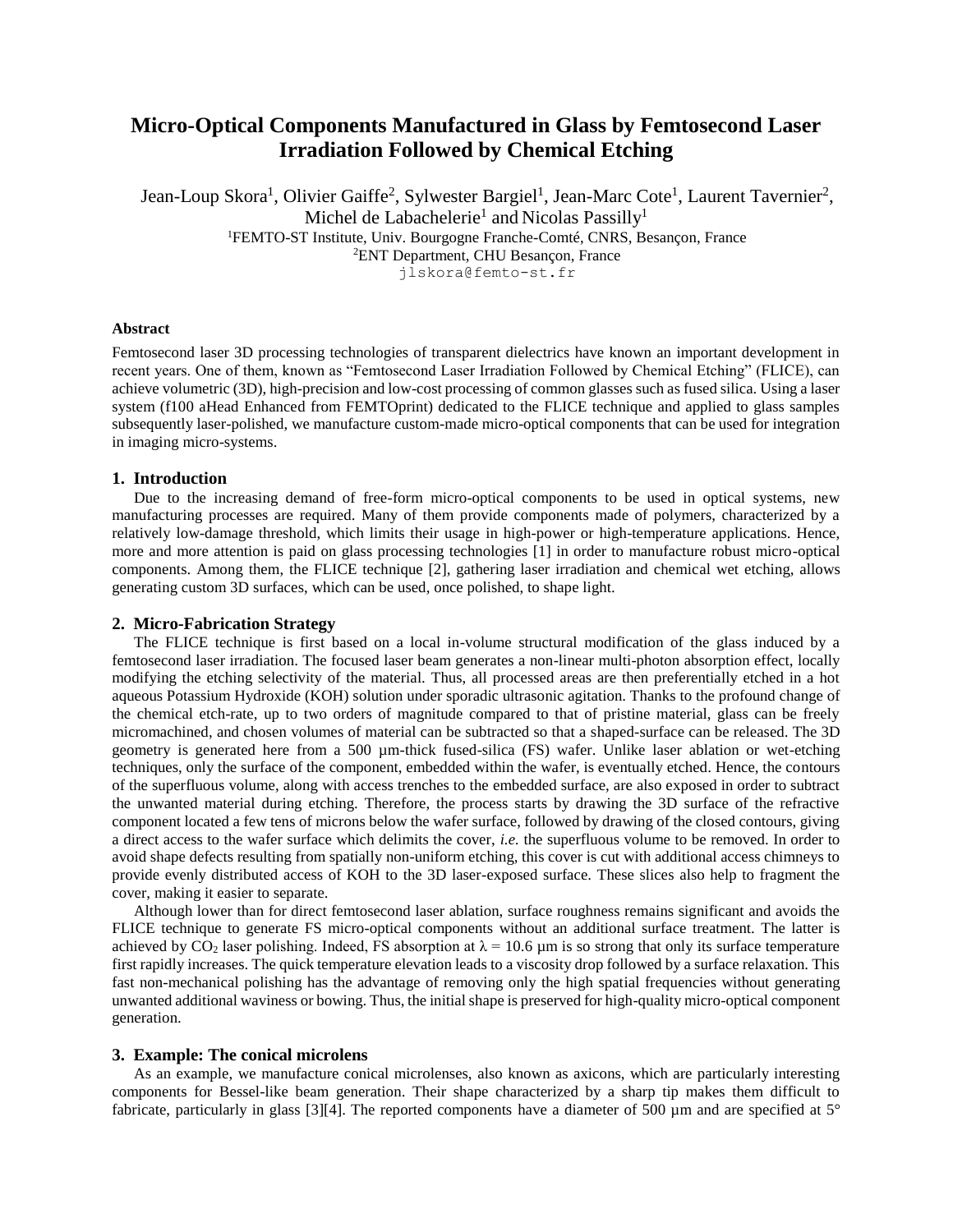# **Micro-Optical Components Manufactured in Glass by Femtosecond Laser Irradiation Followed by Chemical Etching**

Jean-Loup Skora<sup>1</sup>, Olivier Gaiffe<sup>2</sup>, Sylwester Bargiel<sup>1</sup>, Jean-Marc Cote<sup>1</sup>, Laurent Tavernier<sup>2</sup>, Michel de Labachelerie<sup>1</sup> and Nicolas Passilly<sup>1</sup> <sup>1</sup>FEMTO-ST Institute, Univ. Bourgogne Franche-Comté, CNRS, Besançon, France <sup>2</sup>ENT Department, CHU Besançon, France jlskora@femto-st.fr

#### **Abstract**

 Femtosecond laser 3D processing technologies of transparent dielectrics have known an important development in recent years. One of them, known as "Femtosecond Laser Irradiation Followed by Chemical Etching" (FLICE), can achieve volumetric (3D), high-precision and low-cost processing of common glasses such as fused silica. Using a laser system (f100 aHead Enhanced from FEMTOprint) dedicated to the FLICE technique and applied to glass samples subsequently laser-polished, we manufacture custom-made micro-optical components that can be used for integration in imaging micro-systems.

## **1. Introduction**

Due to the increasing demand of free-form micro-optical components to be used in optical systems, new manufacturing processes are required. Many of them provide components made of polymers, characterized by a relatively low-damage threshold, which limits their usage in high-power or high-temperature applications. Hence, more and more attention is paid on glass processing technologies [1] in order to manufacture robust micro-optical components. Among them, the FLICE technique [2], gathering laser irradiation and chemical wet etching, allows generating custom 3D surfaces, which can be used, once polished, to shape light.

#### **2. Micro-Fabrication Strategy**

The FLICE technique is first based on a local in-volume structural modification of the glass induced by a femtosecond laser irradiation. The focused laser beam generates a non-linear multi-photon absorption effect, locally modifying the etching selectivity of the material. Thus, all processed areas are then preferentially etched in a hot aqueous Potassium Hydroxide (KOH) solution under sporadic ultrasonic agitation. Thanks to the profound change of the chemical etch-rate, up to two orders of magnitude compared to that of pristine material, glass can be freely micromachined, and chosen volumes of material can be subtracted so that a shaped-surface can be released. The 3D geometry is generated here from a 500 µm-thick fused-silica (FS) wafer. Unlike laser ablation or wet-etching techniques, only the surface of the component, embedded within the wafer, is eventually etched. Hence, the contours of the superfluous volume, along with access trenches to the embedded surface, are also exposed in order to subtract the unwanted material during etching. Therefore, the process starts by drawing the 3D surface of the refractive component located a few tens of microns below the wafer surface, followed by drawing of the closed contours, giving a direct access to the wafer surface which delimits the cover, *i.e.* the superfluous volume to be removed. In order to avoid shape defects resulting from spatially non-uniform etching, this cover is cut with additional access chimneys to provide evenly distributed access of KOH to the 3D laser-exposed surface. These slices also help to fragment the cover, making it easier to separate.

Although lower than for direct femtosecond laser ablation, surface roughness remains significant and avoids the FLICE technique to generate FS micro-optical components without an additional surface treatment. The latter is achieved by  $CO_2$  laser polishing. Indeed, FS absorption at  $\lambda = 10.6 \mu m$  is so strong that only its surface temperature first rapidly increases. The quick temperature elevation leads to a viscosity drop followed by a surface relaxation. This fast non-mechanical polishing has the advantage of removing only the high spatial frequencies without generating unwanted additional waviness or bowing. Thus, the initial shape is preserved for high-quality micro-optical component generation.

#### **3. Example: The conical microlens**

As an example, we manufacture conical microlenses, also known as axicons, which are particularly interesting components for Bessel-like beam generation. Their shape characterized by a sharp tip makes them difficult to fabricate, particularly in glass [3][4]. The reported components have a diameter of 500  $\mu$ m and are specified at 5°